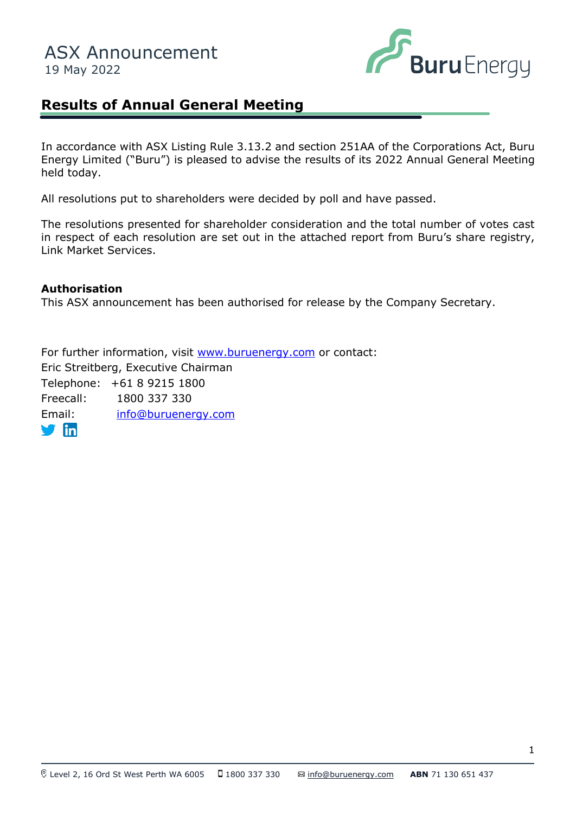

## **Results of Annual General Meeting**

In accordance with ASX Listing Rule 3.13.2 and section 251AA of the Corporations Act, Buru Energy Limited ("Buru") is pleased to advise the results of its 2022 Annual General Meeting held today.

All resolutions put to shareholders were decided by poll and have passed.

The resolutions presented for shareholder consideration and the total number of votes cast in respect of each resolution are set out in the attached report from Buru's share registry, Link Market Services.

## **Authorisation**

This ASX announcement has been authorised for release by the Company Secretary.

For further information, visit [www.buruenergy.com](http://www.buruenergy.com/) or contact: Eric Streitberg, Executive Chairman Telephone: +61 8 9215 1800 Freecall: 1800 337 330 Email: [info@buruenergy.com](mailto:info@buruenergy.com)  $\blacksquare$ in